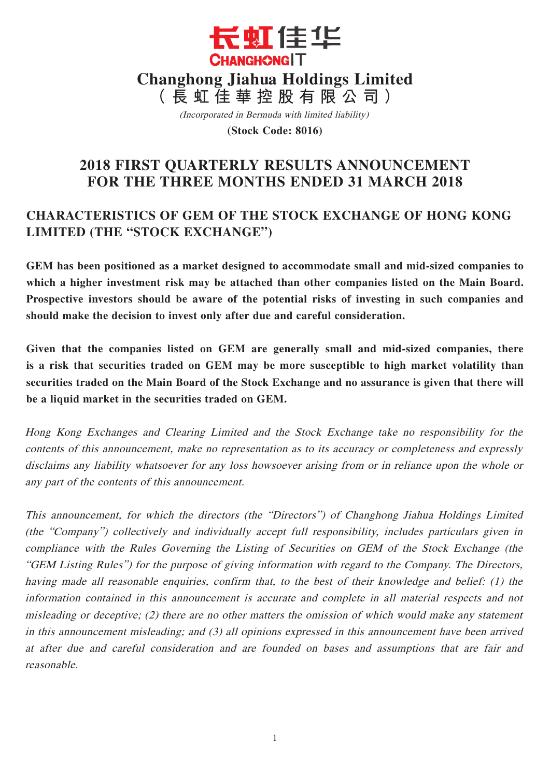

(Incorporated in Bermuda with limited liability)

**(Stock Code: 8016)**

# **2018 FIRST QUARTERLY RESULTS ANNOUNCEMENT FOR THE THREE MONTHS ENDED 31 MARCH 2018**

# **CHARACTERISTICS OF GEM OF THE STOCK EXCHANGE OF HONG KONG LIMITED (THE "STOCK EXCHANGE")**

**GEM has been positioned as a market designed to accommodate small and mid-sized companies to which a higher investment risk may be attached than other companies listed on the Main Board. Prospective investors should be aware of the potential risks of investing in such companies and should make the decision to invest only after due and careful consideration.**

**Given that the companies listed on GEM are generally small and mid-sized companies, there is a risk that securities traded on GEM may be more susceptible to high market volatility than securities traded on the Main Board of the Stock Exchange and no assurance is given that there will be a liquid market in the securities traded on GEM.**

Hong Kong Exchanges and Clearing Limited and the Stock Exchange take no responsibility for the contents of this announcement, make no representation as to its accuracy or completeness and expressly disclaims any liability whatsoever for any loss howsoever arising from or in reliance upon the whole or any part of the contents of this announcement.

This announcement, for which the directors (the "Directors") of Changhong Jiahua Holdings Limited (the "Company") collectively and individually accept full responsibility, includes particulars given in compliance with the Rules Governing the Listing of Securities on GEM of the Stock Exchange (the "GEM Listing Rules") for the purpose of giving information with regard to the Company. The Directors, having made all reasonable enquiries, confirm that, to the best of their knowledge and belief: (1) the information contained in this announcement is accurate and complete in all material respects and not misleading or deceptive; (2) there are no other matters the omission of which would make any statement in this announcement misleading; and (3) all opinions expressed in this announcement have been arrived at after due and careful consideration and are founded on bases and assumptions that are fair and reasonable.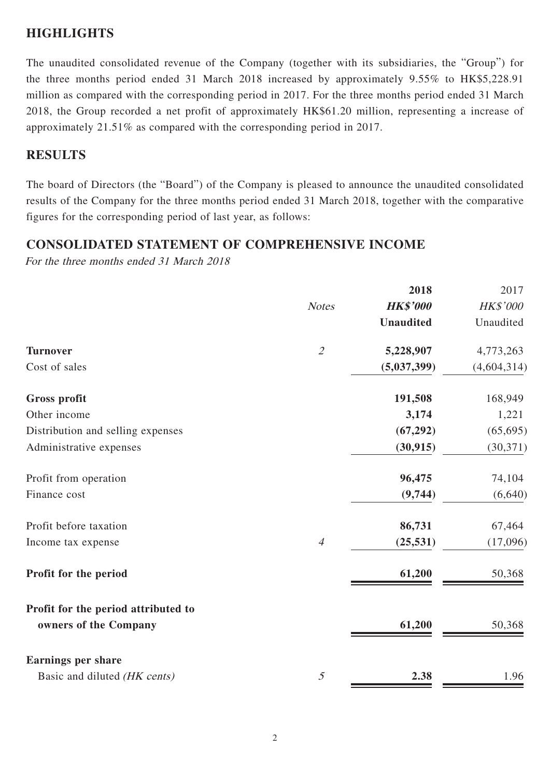## **HIGHLIGHTS**

The unaudited consolidated revenue of the Company (together with its subsidiaries, the "Group") for the three months period ended 31 March 2018 increased by approximately 9.55% to HK\$5,228.91 million as compared with the corresponding period in 2017. For the three months period ended 31 March 2018, the Group recorded a net profit of approximately HK\$61.20 million, representing a increase of approximately 21.51% as compared with the corresponding period in 2017.

### **RESULTS**

The board of Directors (the "Board") of the Company is pleased to announce the unaudited consolidated results of the Company for the three months period ended 31 March 2018, together with the comparative figures for the corresponding period of last year, as follows:

## **CONSOLIDATED STATEMENT OF COMPREHENSIVE INCOME**

For the three months ended 31 March 2018

|                                     |                             | 2018             | 2017        |
|-------------------------------------|-----------------------------|------------------|-------------|
|                                     | <b>Notes</b>                | <b>HK\$'000</b>  | HK\$'000    |
|                                     |                             | <b>Unaudited</b> | Unaudited   |
| <b>Turnover</b>                     | $\mathcal{L}_{\mathcal{L}}$ | 5,228,907        | 4,773,263   |
| Cost of sales                       |                             | (5,037,399)      | (4,604,314) |
| <b>Gross profit</b>                 |                             | 191,508          | 168,949     |
| Other income                        |                             | 3,174            | 1,221       |
| Distribution and selling expenses   |                             | (67, 292)        | (65, 695)   |
| Administrative expenses             |                             | (30, 915)        | (30, 371)   |
| Profit from operation               |                             | 96,475           | 74,104      |
| Finance cost                        |                             | (9,744)          | (6,640)     |
| Profit before taxation              |                             | 86,731           | 67,464      |
| Income tax expense                  | $\overline{4}$              | (25, 531)        | (17,096)    |
| Profit for the period               |                             | 61,200           | 50,368      |
| Profit for the period attributed to |                             |                  |             |
| owners of the Company               |                             | 61,200           | 50,368      |
| <b>Earnings per share</b>           |                             |                  |             |
| Basic and diluted (HK cents)        | 5                           | 2.38             | 1.96        |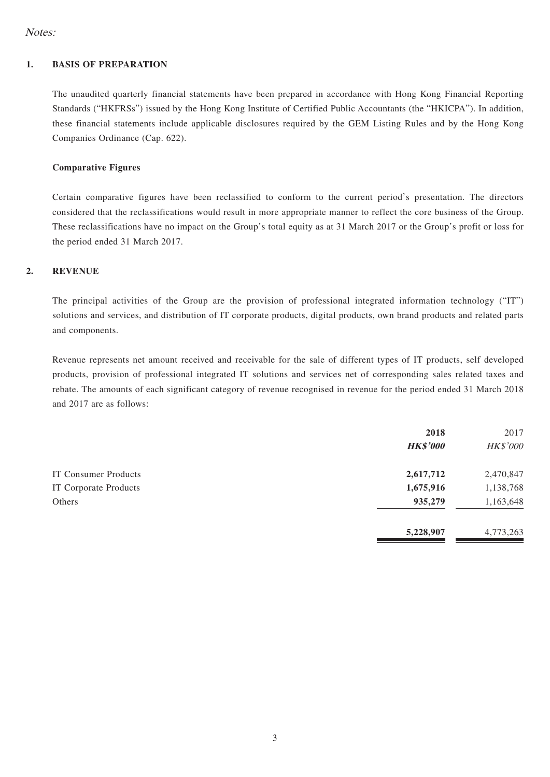### Notes:

#### **1. BASIS OF PREPARATION**

The unaudited quarterly financial statements have been prepared in accordance with Hong Kong Financial Reporting Standards ("HKFRSs") issued by the Hong Kong Institute of Certified Public Accountants (the "HKICPA"). In addition, these financial statements include applicable disclosures required by the GEM Listing Rules and by the Hong Kong Companies Ordinance (Cap. 622).

#### **Comparative Figures**

Certain comparative figures have been reclassified to conform to the current period's presentation. The directors considered that the reclassifications would result in more appropriate manner to reflect the core business of the Group. These reclassifications have no impact on the Group's total equity as at 31 March 2017 or the Group's profit or loss for the period ended 31 March 2017.

### **2. REVENUE**

The principal activities of the Group are the provision of professional integrated information technology ("IT") solutions and services, and distribution of IT corporate products, digital products, own brand products and related parts and components.

Revenue represents net amount received and receivable for the sale of different types of IT products, self developed products, provision of professional integrated IT solutions and services net of corresponding sales related taxes and rebate. The amounts of each significant category of revenue recognised in revenue for the period ended 31 March 2018 and 2017 are as follows:

|                              | 2018<br><b>HK\$'000</b> | 2017<br>HK\$'000 |
|------------------------------|-------------------------|------------------|
| IT Consumer Products         | 2,617,712               | 2,470,847        |
| <b>IT Corporate Products</b> | 1,675,916               | 1,138,768        |
| Others                       | 935,279                 | 1,163,648        |
|                              | 5,228,907               | 4,773,263        |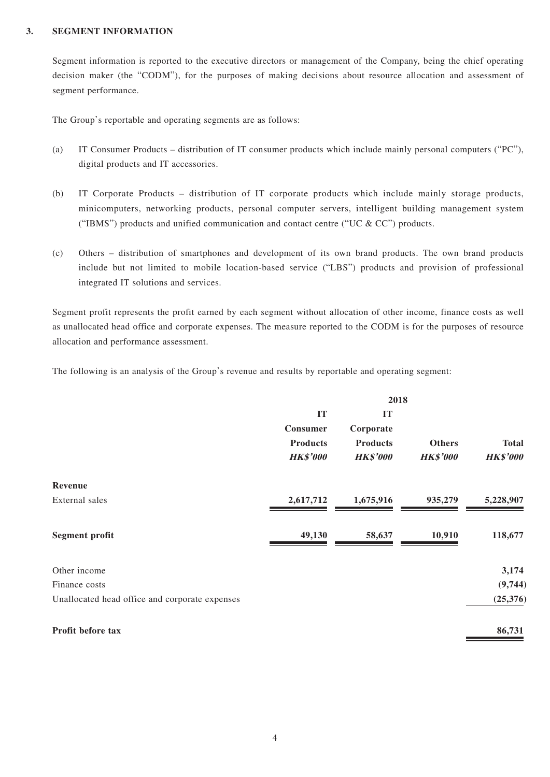#### **3. SEGMENT INFORMATION**

Segment information is reported to the executive directors or management of the Company, being the chief operating decision maker (the "CODM"), for the purposes of making decisions about resource allocation and assessment of segment performance.

The Group's reportable and operating segments are as follows:

- (a) IT Consumer Products distribution of IT consumer products which include mainly personal computers ("PC"), digital products and IT accessories.
- (b) IT Corporate Products distribution of IT corporate products which include mainly storage products, minicomputers, networking products, personal computer servers, intelligent building management system ("IBMS") products and unified communication and contact centre ("UC  $&$  CC") products.
- (c) Others distribution of smartphones and development of its own brand products. The own brand products include but not limited to mobile location-based service ("LBS") products and provision of professional integrated IT solutions and services.

Segment profit represents the profit earned by each segment without allocation of other income, finance costs as well as unallocated head office and corporate expenses. The measure reported to the CODM is for the purposes of resource allocation and performance assessment.

The following is an analysis of the Group's revenue and results by reportable and operating segment:

|                                                | 2018            |                 |                 |                 |
|------------------------------------------------|-----------------|-----------------|-----------------|-----------------|
|                                                | IT              | IT              |                 |                 |
|                                                | Consumer        | Corporate       |                 |                 |
|                                                | <b>Products</b> | <b>Products</b> | <b>Others</b>   | <b>Total</b>    |
|                                                | <b>HK\$'000</b> | <b>HK\$'000</b> | <b>HK\$'000</b> | <b>HK\$'000</b> |
| Revenue                                        |                 |                 |                 |                 |
| External sales                                 | 2,617,712       | 1,675,916       | 935,279         | 5,228,907       |
| <b>Segment profit</b>                          | 49,130          | 58,637          | 10,910          | 118,677         |
| Other income                                   |                 |                 |                 | 3,174           |
| Finance costs                                  |                 |                 |                 | (9,744)         |
| Unallocated head office and corporate expenses |                 |                 |                 | (25,376)        |
| Profit before tax                              |                 |                 |                 | 86,731          |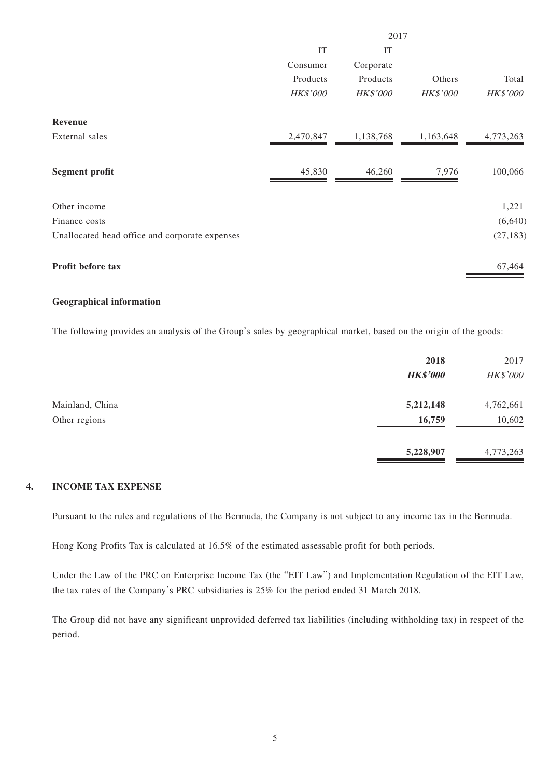|                                                | 2017            |                 |                 |                 |
|------------------------------------------------|-----------------|-----------------|-----------------|-----------------|
|                                                | IT              | IT              |                 |                 |
|                                                | Consumer        | Corporate       |                 |                 |
|                                                | Products        | Products        | Others          | Total           |
|                                                | <b>HK\$'000</b> | <b>HK\$'000</b> | <b>HK\$'000</b> | <b>HK\$'000</b> |
| Revenue                                        |                 |                 |                 |                 |
| External sales                                 | 2,470,847       | 1,138,768       | 1,163,648       | 4,773,263       |
| <b>Segment profit</b>                          | 45,830          | 46,260          | 7,976           | 100,066         |
| Other income                                   |                 |                 |                 | 1,221           |
| Finance costs                                  |                 |                 |                 | (6,640)         |
| Unallocated head office and corporate expenses |                 |                 |                 | (27, 183)       |
| Profit before tax                              |                 |                 |                 | 67,464          |

#### **Geographical information**

The following provides an analysis of the Group's sales by geographical market, based on the origin of the goods:

| 2018            | 2017      |
|-----------------|-----------|
| <b>HK\$'000</b> | HK\$'000  |
| 5,212,148       | 4,762,661 |
| 16,759          | 10,602    |
| 5,228,907       | 4,773,263 |
|                 |           |

#### **4. INCOME TAX EXPENSE**

Pursuant to the rules and regulations of the Bermuda, the Company is not subject to any income tax in the Bermuda.

Hong Kong Profits Tax is calculated at 16.5% of the estimated assessable profit for both periods.

Under the Law of the PRC on Enterprise Income Tax (the "EIT Law") and Implementation Regulation of the EIT Law, the tax rates of the Company's PRC subsidiaries is 25% for the period ended 31 March 2018.

The Group did not have any significant unprovided deferred tax liabilities (including withholding tax) in respect of the period.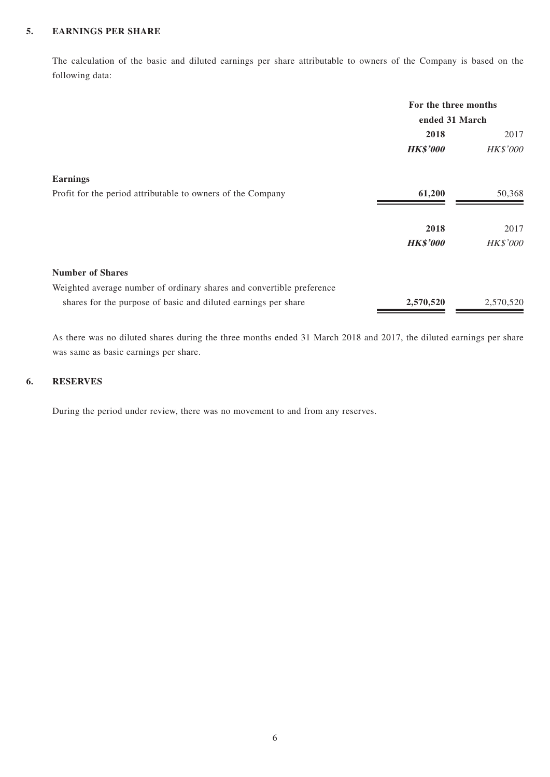### **5. EARNINGS PER SHARE**

The calculation of the basic and diluted earnings per share attributable to owners of the Company is based on the following data:

|                                                                       | For the three months<br>ended 31 March |           |
|-----------------------------------------------------------------------|----------------------------------------|-----------|
|                                                                       | 2018                                   | 2017      |
|                                                                       | <b>HK\$'000</b>                        | HK\$'000  |
| <b>Earnings</b>                                                       |                                        |           |
| Profit for the period attributable to owners of the Company           | 61,200                                 | 50,368    |
|                                                                       | 2018                                   | 2017      |
|                                                                       | <b>HK\$'000</b>                        | HK\$'000  |
| <b>Number of Shares</b>                                               |                                        |           |
| Weighted average number of ordinary shares and convertible preference |                                        |           |
| shares for the purpose of basic and diluted earnings per share        | 2,570,520                              | 2,570,520 |

As there was no diluted shares during the three months ended 31 March 2018 and 2017, the diluted earnings per share was same as basic earnings per share.

### **6. RESERVES**

During the period under review, there was no movement to and from any reserves.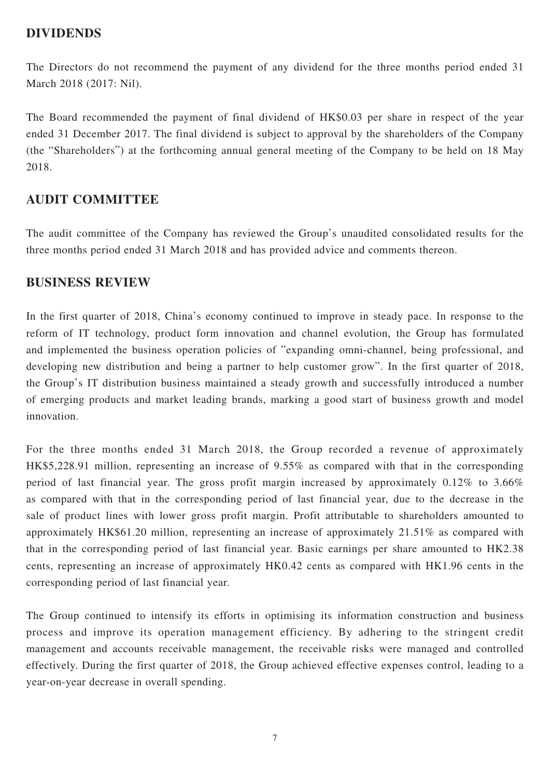### **DIVIDENDS**

The Directors do not recommend the payment of any dividend for the three months period ended 31 March 2018 (2017: Nil).

The Board recommended the payment of final dividend of HK\$0.03 per share in respect of the year ended 31 December 2017. The final dividend is subject to approval by the shareholders of the Company (the "Shareholders") at the forthcoming annual general meeting of the Company to be held on 18 May 2018.

### **AUDIT COMMITTEE**

The audit committee of the Company has reviewed the Group's unaudited consolidated results for the three months period ended 31 March 2018 and has provided advice and comments thereon.

### **BUSINESS REVIEW**

In the first quarter of 2018, China's economy continued to improve in steady pace. In response to the reform of IT technology, product form innovation and channel evolution, the Group has formulated and implemented the business operation policies of "expanding omni-channel, being professional, and developing new distribution and being a partner to help customer grow". In the first quarter of 2018, the Group's IT distribution business maintained a steady growth and successfully introduced a number of emerging products and market leading brands, marking a good start of business growth and model innovation.

For the three months ended 31 March 2018, the Group recorded a revenue of approximately HK\$5,228.91 million, representing an increase of 9.55% as compared with that in the corresponding period of last financial year. The gross profit margin increased by approximately 0.12% to 3.66% as compared with that in the corresponding period of last financial year, due to the decrease in the sale of product lines with lower gross profit margin. Profit attributable to shareholders amounted to approximately HK\$61.20 million, representing an increase of approximately 21.51% as compared with that in the corresponding period of last financial year. Basic earnings per share amounted to HK2.38 cents, representing an increase of approximately HK0.42 cents as compared with HK1.96 cents in the corresponding period of last financial year.

The Group continued to intensify its efforts in optimising its information construction and business process and improve its operation management efficiency. By adhering to the stringent credit management and accounts receivable management, the receivable risks were managed and controlled effectively. During the first quarter of 2018, the Group achieved effective expenses control, leading to a year-on-year decrease in overall spending.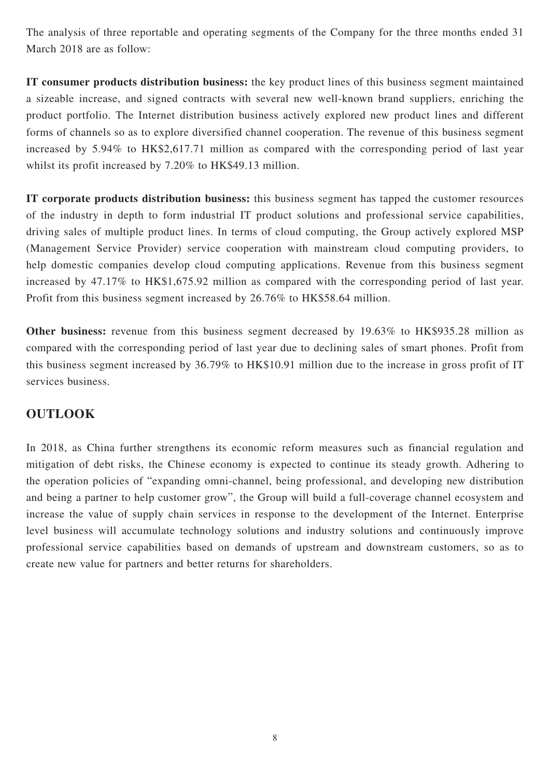The analysis of three reportable and operating segments of the Company for the three months ended 31 March 2018 are as follow:

**IT consumer products distribution business:** the key product lines of this business segment maintained a sizeable increase, and signed contracts with several new well-known brand suppliers, enriching the product portfolio. The Internet distribution business actively explored new product lines and different forms of channels so as to explore diversified channel cooperation. The revenue of this business segment increased by 5.94% to HK\$2,617.71 million as compared with the corresponding period of last year whilst its profit increased by 7.20% to HK\$49.13 million.

**IT corporate products distribution business:** this business segment has tapped the customer resources of the industry in depth to form industrial IT product solutions and professional service capabilities, driving sales of multiple product lines. In terms of cloud computing, the Group actively explored MSP (Management Service Provider) service cooperation with mainstream cloud computing providers, to help domestic companies develop cloud computing applications. Revenue from this business segment increased by 47.17% to HK\$1,675.92 million as compared with the corresponding period of last year. Profit from this business segment increased by 26.76% to HK\$58.64 million.

**Other business:** revenue from this business segment decreased by 19.63% to HK\$935.28 million as compared with the corresponding period of last year due to declining sales of smart phones. Profit from this business segment increased by 36.79% to HK\$10.91 million due to the increase in gross profit of IT services business.

## **OUTLOOK**

In 2018, as China further strengthens its economic reform measures such as financial regulation and mitigation of debt risks, the Chinese economy is expected to continue its steady growth. Adhering to the operation policies of "expanding omni-channel, being professional, and developing new distribution and being a partner to help customer grow", the Group will build a full-coverage channel ecosystem and increase the value of supply chain services in response to the development of the Internet. Enterprise level business will accumulate technology solutions and industry solutions and continuously improve professional service capabilities based on demands of upstream and downstream customers, so as to create new value for partners and better returns for shareholders.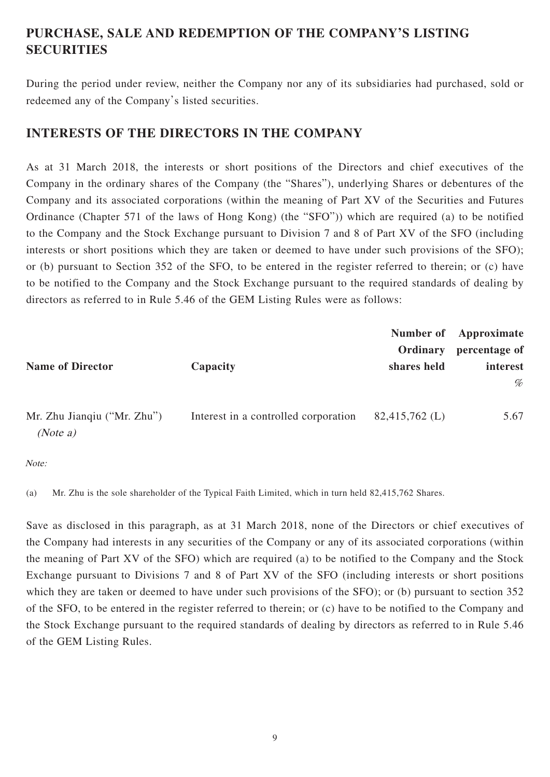# **PURCHASE, SALE AND REDEMPTION OF THE COMPANY'S LISTING SECURITIES**

During the period under review, neither the Company nor any of its subsidiaries had purchased, sold or redeemed any of the Company's listed securities.

## **INTERESTS OF THE DIRECTORS IN THE COMPANY**

As at 31 March 2018, the interests or short positions of the Directors and chief executives of the Company in the ordinary shares of the Company (the "Shares"), underlying Shares or debentures of the Company and its associated corporations (within the meaning of Part XV of the Securities and Futures Ordinance (Chapter 571 of the laws of Hong Kong) (the "SFO")) which are required (a) to be notified to the Company and the Stock Exchange pursuant to Division 7 and 8 of Part XV of the SFO (including interests or short positions which they are taken or deemed to have under such provisions of the SFO); or (b) pursuant to Section 352 of the SFO, to be entered in the register referred to therein; or (c) have to be notified to the Company and the Stock Exchange pursuant to the required standards of dealing by directors as referred to in Rule 5.46 of the GEM Listing Rules were as follows:

|                                         |                                      | Ordinary            | Number of Approximate<br>percentage of |
|-----------------------------------------|--------------------------------------|---------------------|----------------------------------------|
| <b>Name of Director</b>                 | Capacity                             | shares held         | interest                               |
|                                         |                                      |                     | %                                      |
| Mr. Zhu Jianqiu ("Mr. Zhu")<br>(Note a) | Interest in a controlled corporation | $82,415,762 \; (L)$ | 5.67                                   |

Note:

(a) Mr. Zhu is the sole shareholder of the Typical Faith Limited, which in turn held 82,415,762 Shares.

Save as disclosed in this paragraph, as at 31 March 2018, none of the Directors or chief executives of the Company had interests in any securities of the Company or any of its associated corporations (within the meaning of Part XV of the SFO) which are required (a) to be notified to the Company and the Stock Exchange pursuant to Divisions 7 and 8 of Part XV of the SFO (including interests or short positions which they are taken or deemed to have under such provisions of the SFO); or (b) pursuant to section 352 of the SFO, to be entered in the register referred to therein; or (c) have to be notified to the Company and the Stock Exchange pursuant to the required standards of dealing by directors as referred to in Rule 5.46 of the GEM Listing Rules.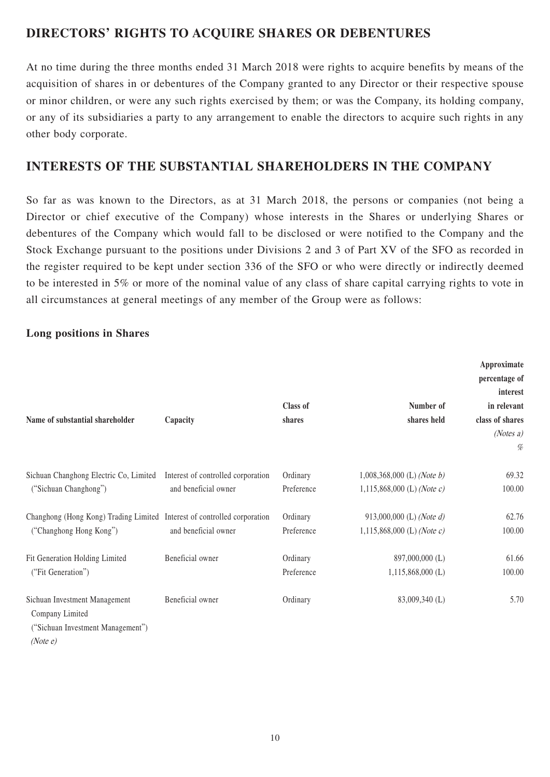# **DIRECTORS' RIGHTS TO ACQUIRE SHARES OR DEBENTURES**

At no time during the three months ended 31 March 2018 were rights to acquire benefits by means of the acquisition of shares in or debentures of the Company granted to any Director or their respective spouse or minor children, or were any such rights exercised by them; or was the Company, its holding company, or any of its subsidiaries a party to any arrangement to enable the directors to acquire such rights in any other body corporate.

## **INTERESTS OF THE SUBSTANTIAL SHAREHOLDERS IN THE COMPANY**

So far as was known to the Directors, as at 31 March 2018, the persons or companies (not being a Director or chief executive of the Company) whose interests in the Shares or underlying Shares or debentures of the Company which would fall to be disclosed or were notified to the Company and the Stock Exchange pursuant to the positions under Divisions 2 and 3 of Part XV of the SFO as recorded in the register required to be kept under section 336 of the SFO or who were directly or indirectly deemed to be interested in 5% or more of the nominal value of any class of share capital carrying rights to vote in all circumstances at general meetings of any member of the Group were as follows:

### **Long positions in Shares**

| Name of substantial shareholder                                                                   | Capacity                           | Class of<br>shares | Number of<br>shares held     | Approximate<br>percentage of<br>interest<br>in relevant<br>class of shares<br>(Notes a)<br>% |
|---------------------------------------------------------------------------------------------------|------------------------------------|--------------------|------------------------------|----------------------------------------------------------------------------------------------|
| Sichuan Changhong Electric Co, Limited                                                            | Interest of controlled corporation | Ordinary           | $1,008,368,000$ (L) (Note b) | 69.32                                                                                        |
| ("Sichuan Changhong")                                                                             | and beneficial owner               | Preference         | $1,115,868,000$ (L) (Note c) | 100.00                                                                                       |
| Changhong (Hong Kong) Trading Limited Interest of controlled corporation                          | and beneficial owner               | Ordinary           | 913,000,000 (L) (Note d)     | 62.76                                                                                        |
| ("Changhong Hong Kong")                                                                           |                                    | Preference         | 1,115,868,000 (L) (Note c)   | 100.00                                                                                       |
| Fit Generation Holding Limited                                                                    | Beneficial owner                   | Ordinary           | 897,000,000 (L)              | 61.66                                                                                        |
| ("Fit Generation")                                                                                |                                    | Preference         | $1,115,868,000$ (L)          | 100.00                                                                                       |
| Sichuan Investment Management<br>Company Limited<br>("Sichuan Investment Management")<br>(Note e) | Beneficial owner                   | Ordinary           | 83,009,340 (L)               | 5.70                                                                                         |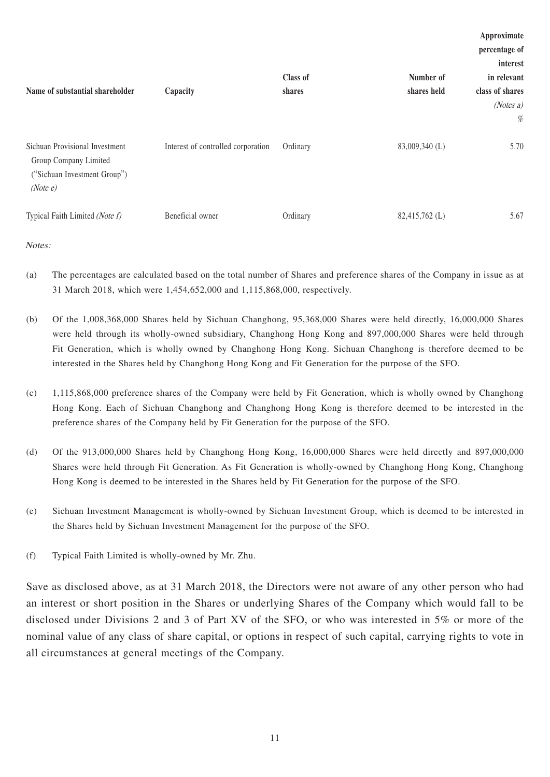|                                                                                                     |                                    |          |                | Approximate     |
|-----------------------------------------------------------------------------------------------------|------------------------------------|----------|----------------|-----------------|
|                                                                                                     |                                    |          |                | percentage of   |
|                                                                                                     |                                    |          |                | interest        |
|                                                                                                     |                                    | Class of | Number of      | in relevant     |
| Name of substantial shareholder                                                                     | Capacity                           | shares   | shares held    | class of shares |
|                                                                                                     |                                    |          |                | (Notes a)       |
|                                                                                                     |                                    |          |                | %               |
| Sichuan Provisional Investment<br>Group Company Limited<br>("Sichuan Investment Group")<br>(Note e) | Interest of controlled corporation | Ordinary | 83,009,340 (L) | 5.70            |
| Typical Faith Limited (Note f)                                                                      | Beneficial owner                   | Ordinary | 82,415,762 (L) | 5.67            |

Notes:

- (a) The percentages are calculated based on the total number of Shares and preference shares of the Company in issue as at 31 March 2018, which were 1,454,652,000 and 1,115,868,000, respectively.
- (b) Of the 1,008,368,000 Shares held by Sichuan Changhong, 95,368,000 Shares were held directly, 16,000,000 Shares were held through its wholly-owned subsidiary, Changhong Hong Kong and 897,000,000 Shares were held through Fit Generation, which is wholly owned by Changhong Hong Kong. Sichuan Changhong is therefore deemed to be interested in the Shares held by Changhong Hong Kong and Fit Generation for the purpose of the SFO.
- (c) 1,115,868,000 preference shares of the Company were held by Fit Generation, which is wholly owned by Changhong Hong Kong. Each of Sichuan Changhong and Changhong Hong Kong is therefore deemed to be interested in the preference shares of the Company held by Fit Generation for the purpose of the SFO.
- (d) Of the 913,000,000 Shares held by Changhong Hong Kong, 16,000,000 Shares were held directly and 897,000,000 Shares were held through Fit Generation. As Fit Generation is wholly-owned by Changhong Hong Kong, Changhong Hong Kong is deemed to be interested in the Shares held by Fit Generation for the purpose of the SFO.
- (e) Sichuan Investment Management is wholly-owned by Sichuan Investment Group, which is deemed to be interested in the Shares held by Sichuan Investment Management for the purpose of the SFO.
- (f) Typical Faith Limited is wholly-owned by Mr. Zhu.

Save as disclosed above, as at 31 March 2018, the Directors were not aware of any other person who had an interest or short position in the Shares or underlying Shares of the Company which would fall to be disclosed under Divisions 2 and 3 of Part XV of the SFO, or who was interested in 5% or more of the nominal value of any class of share capital, or options in respect of such capital, carrying rights to vote in all circumstances at general meetings of the Company.